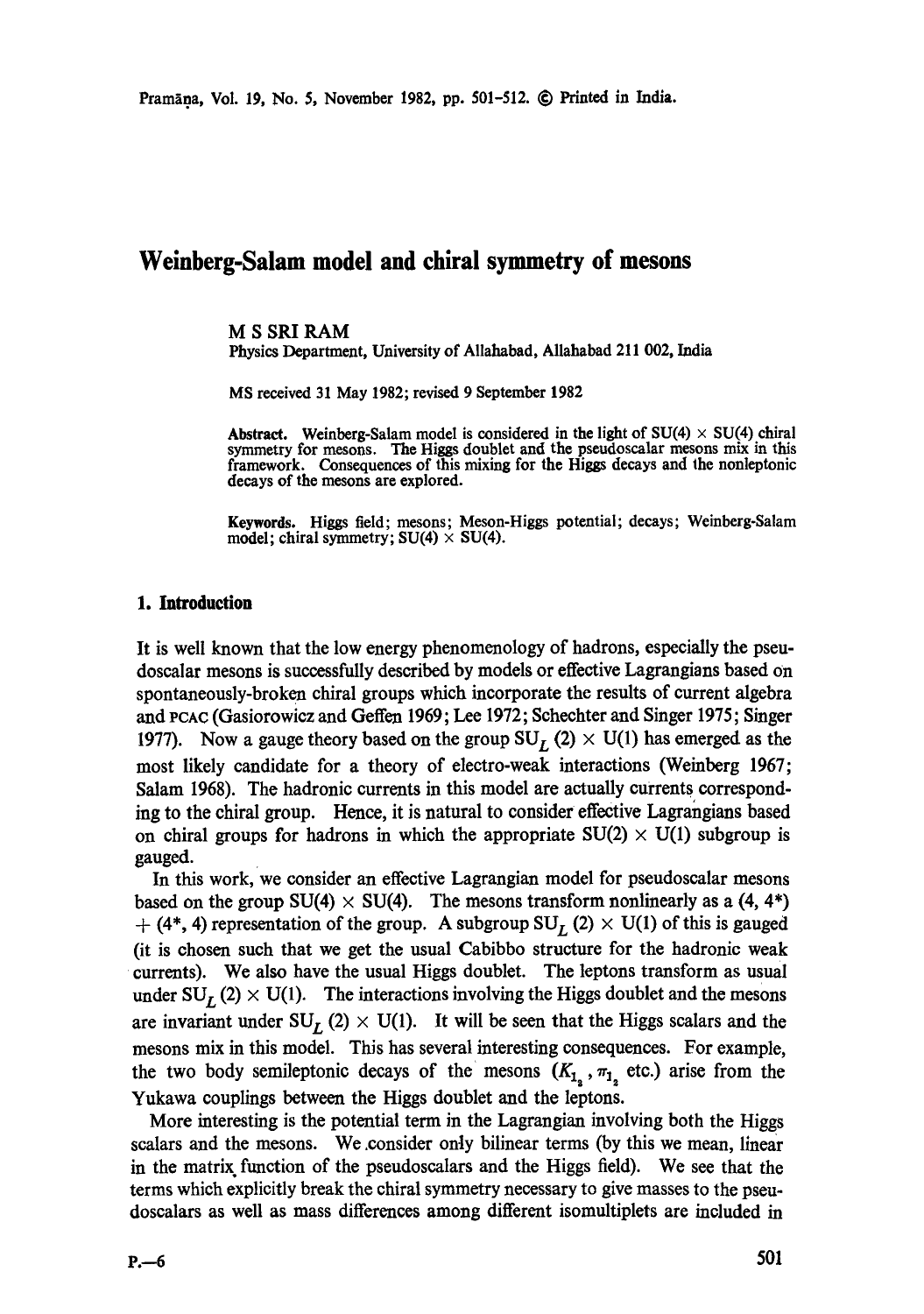# **Weinberg-Salam model and chiral symmetry of mesons**

## M S SRI RAM

Physics Department, University of Allahabad, Allahabad 211 002, India

MS received 31 May 1982; revised 9 September 1982

Abstract. Weinberg-Salam model is considered in the light of  $SU(4) \times SU(4)$  chiral symmetry for mesons. The Higgs doublet and the pseudoscalar mesons mix in this framework. Consequences of this mixing for the Higgs decays and the nonleptonic decays of the mesons are explored.

**Keywords.** Higgs field; mesons; Meson-Higgs potential; decays; Weinberg-Salam model; chiral symmetry;  $SU(4) \times SU(4)$ .

## **1. Introduction**

It is well known that the low energy phenomenology of hadrons, especially the pseudoscalar mesons is successfully described by models or effective Lagrangians based on spontaneously-broken chiral groups which incorporate the results of current algebra *and PCAC* (Gasiorowicz and Geffen 1969; Lee 1972; Schechter and Singer 1975; Singer 1977). Now a gauge theory based on the group  $SU_L (2) \times U(1)$  has emerged as the most likely candidate for a theory of electro-weak interactions (Weinberg 1967; Salam 1968). The hadronic currents in this model are actually currents corresponding to the chiral group. Hence, it is natural to consider effective Lagrangians based on chiral groups for hadrons in which the appropriate  $SU(2) \times U(1)$  subgroup is gauged.

In this work, we consider an effective Lagrangian model for pseudoscalar mesons based on the group  $SU(4) \times SU(4)$ . The mesons transform nonlinearly as a (4, 4\*)  $+(4^*, 4)$  representation of the group. A subgroup SU<sub>L</sub> (2)  $\times$  U(1) of this is gauged (it is chosen such that we get the usual Cabibbo structure for the hadronic weak currents). We also have the usual Higgs doublet. The leptons transform as usual under  $SU_I (2) \times U(1)$ . The interactions involving the Higgs doublet and the mesons are invariant under  $SU_I$  (2)  $\times$  U(1). It will be seen that the Higgs scalars and the mesons mix in this model. This has several interesting consequences. For example, the two body semileptonic decays of the mesons  $(K_{1, r}, \pi_{1, r})$  etc.) arise from the Yukawa couplings between the Higgs doublet and the leptons.

More interesting is the potential term in the Lagrangian involving both the Higgs scalars and the mesons. We ,consider only bilinear terms (by this we mean, linear in the matrix function of the pseudoscalars and the Higgs field). We see that the terms which explicitly break the chiral symmetry necessary to give masses to the pseudoscalars as well as mass differences among different isomultiplets are included in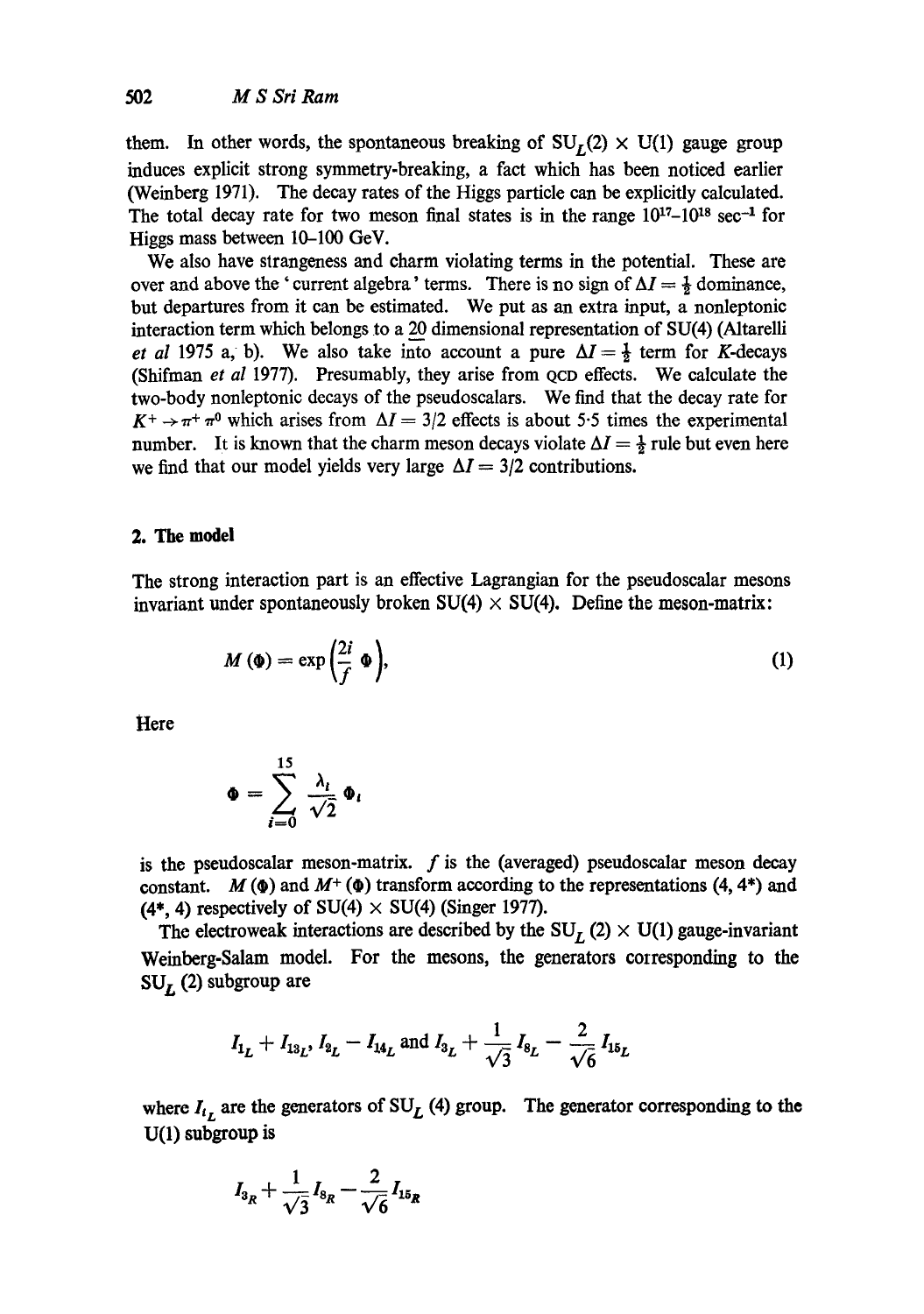them. In other words, the spontaneous breaking of  $SU<sub>1</sub>(2) \times U(1)$  gauge group induces explicit strong symmetry-breaking, a fact which has been noticed earlier (Weinberg 1971). The decay rates of the Higgs particle can be explicitly calculated. The total decay rate for two meson final states is in the range  $10^{17}-10^{18}$  sec<sup>-1</sup> for Higgs mass between 10-100 GeV.

We also have strangeness and charm violating terms in the potential. These are over and above the 'current algebra' terms. There is no sign of  $\Delta I = \frac{1}{2}$  dominance, but departures from it can be estimated. We put as an extra input, a nonleptonic interaction term which belongs to a 20 dimensional representation of SU(4) (Altarelli *et al* 1975 a, b). We also take into account a pure  $\Delta I = \frac{1}{2}$  term for K-decays (Shifman *et al* 1977). Presumably, they arise from QCD effects. We calculate the two-body nonleptonic decays of the pseudoscalars. We find that the decay rate for  $K^+ \rightarrow \pi^+ \pi^0$  which arises from  $\Delta I = 3/2$  effects is about 5.5 times the experimental number. It is known that the charm meson decays violate  $\Delta I = \frac{1}{2}$  rule but even here we find that our model yields very large  $\Delta I = 3/2$  contributions.

## **2. The model**

The strong interaction part is an effective Lagrangian for the pseudoscalar mesons invariant under spontaneously broken  $SU(4) \times SU(4)$ . Define the meson-matrix:

$$
M\left(\mathbf{\Phi}\right) = \exp\left(\frac{2i}{f}\,\mathbf{\Phi}\right),\tag{1}
$$

**Here** 

$$
\Phi = \sum_{i=0}^{15} \frac{\lambda_i}{\sqrt{2}} \Phi_i
$$

is the pseudoscalar meson-matrix.  $f$  is the (averaged) pseudoscalar meson decay constant.  $M(\Phi)$  and  $M^+(\Phi)$  transform according to the representations (4, 4\*) and (4\*, 4) respectively of SU(4)  $\times$  SU(4) (Singer 1977).

The electroweak interactions are described by the  $SU_I$  (2)  $\times$  U(1) gauge-invariant Weinberg-Salam model. For the mesons, the generators corresponding to the  $SU<sub>L</sub>$  (2) subgroup are

$$
I_{1_L} + I_{13_L}
$$
,  $I_{2_L} - I_{14_L}$  and  $I_{3_L} + \frac{1}{\sqrt{3}} I_{8_L} - \frac{2}{\sqrt{6}} I_{15_L}$ 

where  $I_{t_L}$  are the generators of SU<sub>L</sub> (4) group. The generator corresponding to the **U(l)** subgroup is

$$
I_{3R} + \frac{1}{\sqrt{3}} I_{8R} - \frac{2}{\sqrt{6}} I_{15R}
$$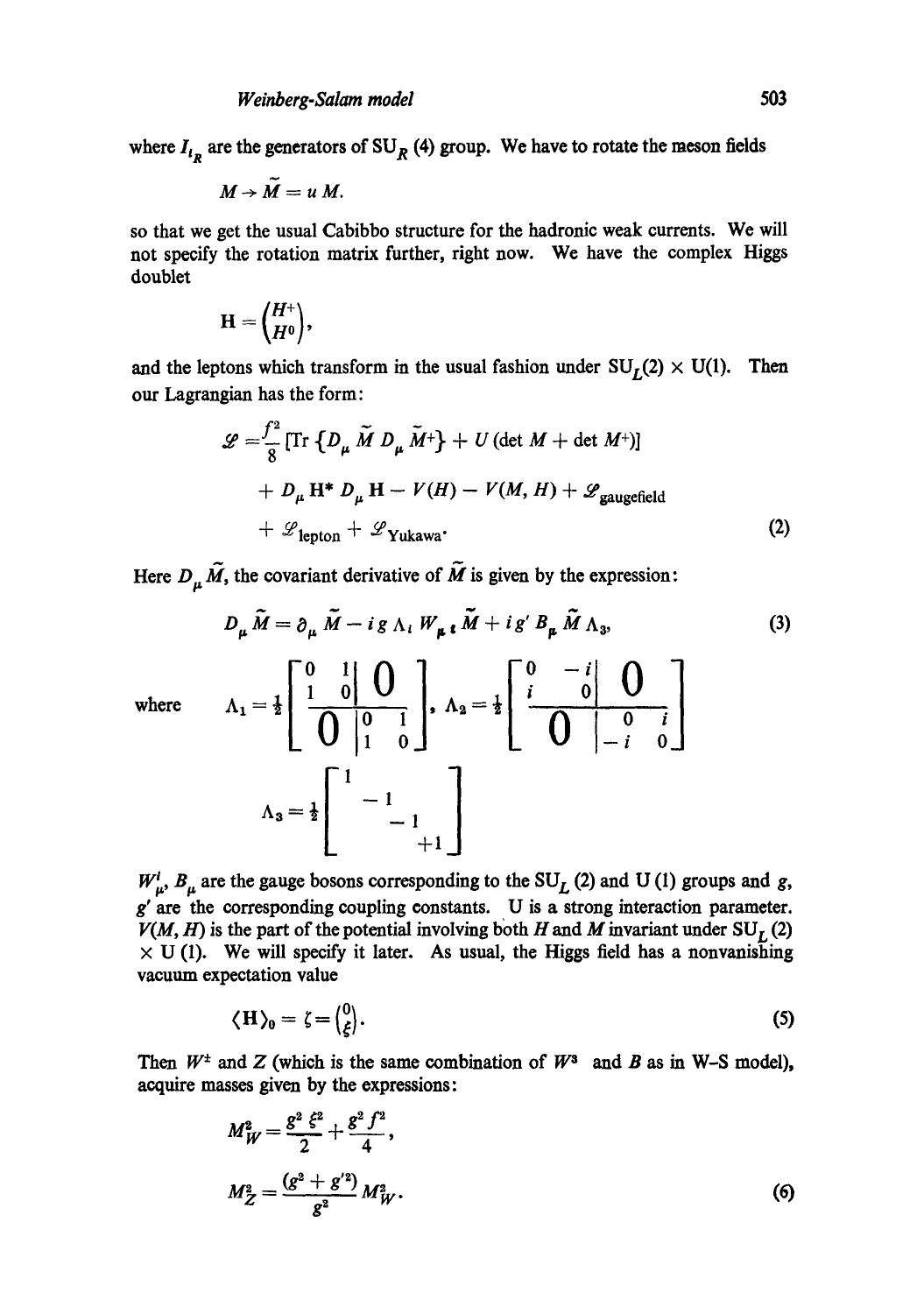where  $I_{t_p}$  are the generators of SU<sub>R</sub> (4) group. We have to rotate the meson fields

$$
M\rightarrow \widetilde{M}=u\ M.
$$

so that we get the usual Cabibbo structure for the hadronic weak currents. We will not specify the rotation matrix further, right now. We have the complex Higgs doublet

$$
\mathbf{H} = \begin{pmatrix} H^+ \\ H^0 \end{pmatrix},
$$

and the leptons which transform in the usual fashion under  $SU_I(2) \times U(1)$ . Then our Lagrangian has the form:

$$
\mathcal{L} = \frac{f^2}{8} \left[ \text{Tr} \{ D_{\mu} \tilde{M} D_{\mu} \tilde{M}^+ \} + U (\det M + \det M^+) \right]
$$
  
+ 
$$
D_{\mu} \mathbf{H}^* D_{\mu} \mathbf{H} - V(H) - V(M, H) + \mathcal{L}_{\text{gaugefield}}
$$
  
+ 
$$
\mathcal{L}_{\text{lepton}} + \mathcal{L}_{\text{Yukawa}}.
$$
 (2)

Here  $D_{\mu} \tilde{M}$ , the covariant derivative of  $\tilde{M}$  is given by the expression:

$$
D_{\mu}\tilde{M} = \partial_{\mu}\tilde{M} - ig \Lambda_{i}W_{\mu}i\tilde{M} + ig'B_{\mu}\tilde{M}\Lambda_{3},
$$
\n(3)  
\nwhere\n
$$
\Lambda_{1} = \frac{1}{2} \left[ \begin{array}{c} 0 & 1 \\ 1 & 0 \end{array} \right] \left[ \begin{array}{c} 0 \\ 0 \end{array} \right], \quad \Lambda_{2} = \frac{1}{2} \left[ \begin{array}{c} 0 & -i \\ i & 0 \end{array} \right] \left[ \begin{array}{c} 0 \\ 0 \end{array} \right]
$$
\n
$$
\Lambda_{3} = \frac{1}{2} \left[ \begin{array}{ccc} 1 & -1 \\ & -1 \\ & +1 \end{array} \right]
$$
\n(3)

 $W^i_{\mu}$ ,  $B_{\mu}$  are the gauge bosons corresponding to the SU<sub>L</sub> (2) and U (1) groups and g,  $g'$  are the corresponding coupling constants. U is a strong interaction parameter.  $V(M, H)$  is the part of the potential involving both H and M invariant under  $SU_I(2)$  $\times$  U (1). We will specify it later. As usual, the Higgs field has a nonvanishing vacuum expectation value

$$
\langle H \rangle_0 = \zeta = \begin{pmatrix} 0 \\ \xi \end{pmatrix} . \tag{5}
$$

Then  $W^{\pm}$  and Z (which is the same combination of  $W^3$  and B as in W-S model), acquire masses given by the expressions:

$$
M_W^2 = \frac{g^2 \xi^2}{2} + \frac{g^2 f^2}{4},
$$
  

$$
M_Z^2 = \frac{(g^2 + g'^2)}{g^2} M_W^2.
$$
 (6)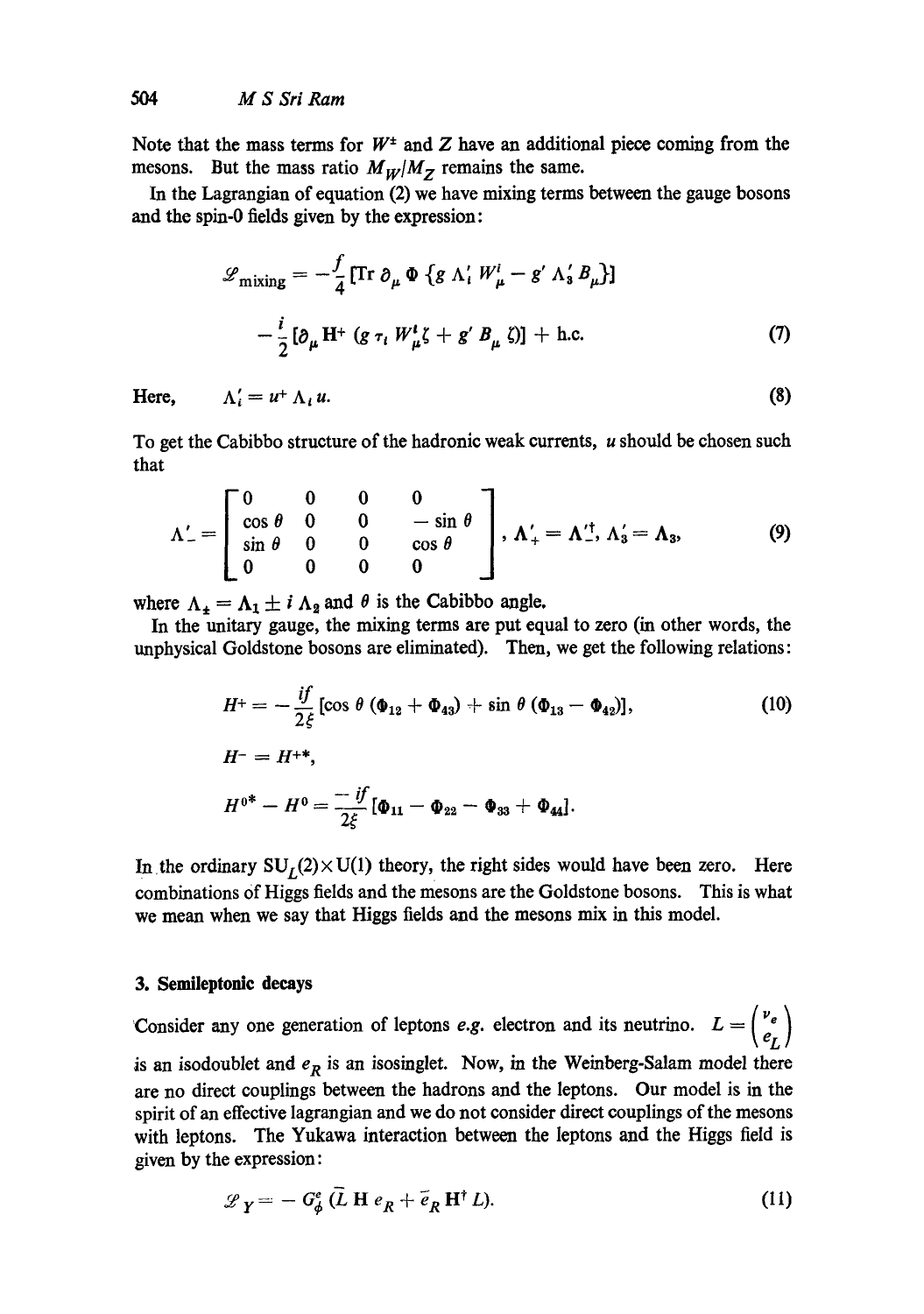Note that the mass terms for  $W^{\pm}$  and Z have an additional piece coming from the mesons. But the mass ratio  $M_W/M_Z$  remains the same.

In the Lagrangian of equation (2) we have mixing terms between the gauge bosons and the spin-0 fields given by the expression:

$$
\mathcal{L}_{\text{mixing}} = -\frac{f}{4} \left[ \text{Tr} \, \partial_{\mu} \, \Phi \, \{ g \wedge'_{i} W^{i}_{\mu} - g' \wedge'_{3} B_{\mu} \} \right]
$$

$$
-\frac{i}{2} \left[ \partial_{\mu} \, \text{H}^{+} \left( g \, \tau_{i} \, W^{i}_{\mu} \zeta + g' \, B_{\mu} \, \zeta \right) \right] + \text{h.c.}
$$

$$
\tag{7}
$$

Here, 
$$
\Lambda_i' = u^+ \Lambda_i u. \tag{8}
$$

To get the Cabibbo structure of the hadronic weak currents, u should be chosen such that

$$
\Lambda'_{-} = \begin{bmatrix} 0 & 0 & 0 & 0 \\ \cos \theta & 0 & 0 & -\sin \theta \\ \sin \theta & 0 & 0 & \cos \theta \\ 0 & 0 & 0 & 0 \end{bmatrix}, \Lambda'_{+} = \Lambda'^{\dagger}_{-}, \Lambda'_{3} = \Lambda_{3},
$$
(9)

where  $\Lambda_{\pm} = \Lambda_1 \pm i \Lambda_2$  and  $\theta$  is the Cabibbo angle.

In the unitary gauge, the mixing terms are put equal to zero (in other words, the unphysical Goldstone bosons are eliminated). Then, we get the following relations:

$$
H^+ = -\frac{if}{2\xi} [\cos \theta (\Phi_{12} + \Phi_{43}) + \sin \theta (\Phi_{13} - \Phi_{42})],
$$
\n
$$
H^- = H^{+*},
$$
\n
$$
H^{0*} - H^0 = -\frac{if}{2\xi} [\Phi_{11} - \Phi_{22} - \Phi_{33} + \Phi_{44}].
$$
\n(10)

In the ordinary  $SU_L(2) \times U(1)$  theory, the right sides would have been zero. Here combinations Of Higgs fields and the mesons are the Goldstone bosons. This is what we mean when we say that Higgs fields and the mesons mix in this model.

## **3. Semileptonic decays**

Consider any one generation of leptons *e.g.* electron and its neutrino.  $L = \begin{pmatrix} v_e \\ e_I \end{pmatrix}$ is an isodoublet and  $e_R$  is an isosinglet. Now, in the Weinberg-Salam model there are no direct couplings between the hadrons and the leptons. Our model is in the spirit of an effective lagrangian and we do not consider direct couplings of the mesons with leptons. The Yukawa interaction between the Ieptons and the Higgs field is given by the expression:

$$
\mathscr{L}_Y = -G^e_{\phi} (\bar{L} H e_R + \bar{e}_R H^{\dagger} L). \tag{11}
$$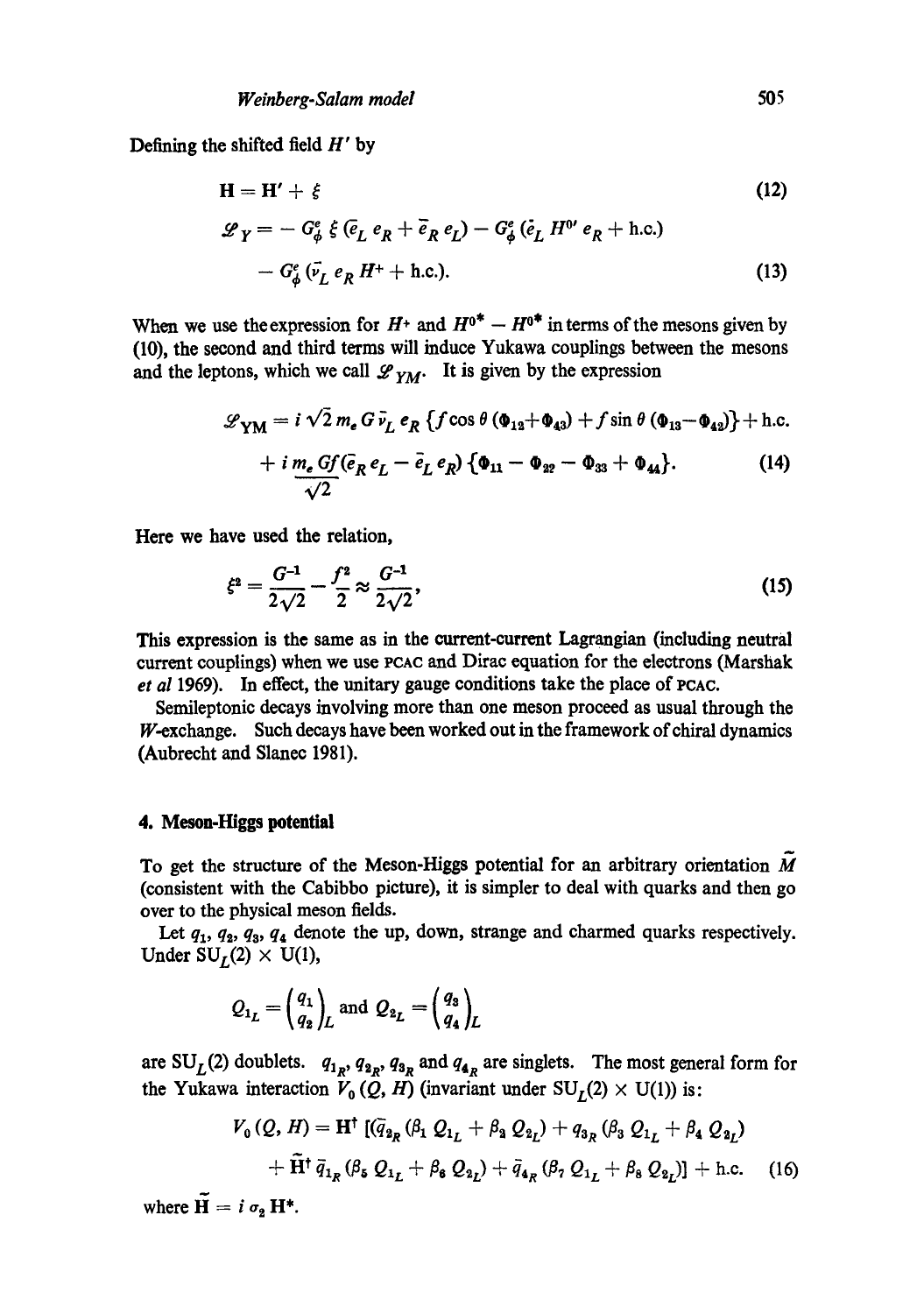Defining the shifted field  $H'$  by

$$
\mathbf{H} = \mathbf{H}' + \xi \tag{12}
$$
\n
$$
\mathcal{L}_Y = -G^e_{\phi} \xi \left( \bar{e}_L e_R + \bar{e}_R e_L \right) - G^e_{\phi} \left( \bar{e}_L H^{0'} e_R + \text{h.c.} \right)
$$
\n
$$
-G^e_{\phi} \left( \bar{v}_L e_R H^+ + \text{h.c.} \right). \tag{13}
$$

When we use the expression for  $H^+$  and  $H^{0*} - H^{0*}$  in terms of the mesons given by (10), the second and third terms will induce Yukawa couplings between the mesons and the leptons, which we call  $\mathscr{L}_{YM}$ . It is given by the expression

$$
\mathcal{L}_{\text{YM}} = i\sqrt{2} m_e G \bar{v}_L e_R \left\{ f \cos \theta \left( \Phi_{12} + \Phi_{43} \right) + f \sin \theta \left( \Phi_{13} - \Phi_{42} \right) \right\} + \text{h.c.} + i \underbrace{m_e G f}_{\sqrt{2}} (\bar{e}_R e_L - \bar{e}_L e_R) \left\{ \Phi_{11} - \Phi_{22} - \Phi_{33} + \Phi_{44} \right\}. \tag{14}
$$

Here we have used the relation,

$$
\xi^2 = \frac{G^{-1}}{2\sqrt{2}} - \frac{f^2}{2} \approx \frac{G^{-1}}{2\sqrt{2}},\tag{15}
$$

This expression is the same as in the current-current Lagrangian (including neutral current couplings) when we use PCAC and Dirac equation for the electrons (Marshak *et al* 1969). In effect, the unitary gauge conditions take the place of PCAC.

Semileptonic decays involving more than one meson proceed as usual through the W-exchange. Such decays have been worked out in the framework of chiral dynamics (Aubrecht and Slanec 1981).

## **4. Meson-I-Iiggs potential**

To get the structure of the Meson-Higgs potential for an arbitrary orientation  $\vec{M}$ (consistent with the Cabibbo picture), it is simpler to deal with quarks and then go over to the physical meson fields.

Let  $q_1$ ,  $q_2$ ,  $q_3$ ,  $q_4$  denote the up, down, strange and charmed quarks respectively. Under  $SU_I(2) \times U(1)$ ,

$$
Q_{1_L} = \begin{pmatrix} q_1 \\ q_2 \end{pmatrix}_L \text{ and } Q_{2_L} = \begin{pmatrix} q_3 \\ q_4 \end{pmatrix}_L
$$

are SU<sub>L</sub>(2) doublets.  $q_{1R}$ ,  $q_{2R}$ ,  $q_{3R}$  and  $q_{4R}$  are singlets. The most general form for the Yukawa interaction  $V_0(Q, H)$  (invariant under  $SU_L(2) \times U(1)$ ) is:

$$
V_0(Q, H) = \mathbf{H}^{\dagger} \left[ (\bar{q}_{2_R} (\beta_1 Q_{1_L} + \beta_2 Q_{2_L}) + q_{3_R} (\beta_3 Q_{1_L} + \beta_4 Q_{2_L}) + \tilde{\mathbf{H}}^{\dagger} \, \bar{q}_{1_R} (\beta_5 Q_{1_L} + \beta_6 Q_{2_L}) + \bar{q}_{4_R} (\beta_7 Q_{1_L} + \beta_8 Q_{2_L}) \right] + \text{h.c.}
$$
 (16)

where  $\widetilde{\mathbf{H}} = i \sigma_{2} \mathbf{H}^{*}$ .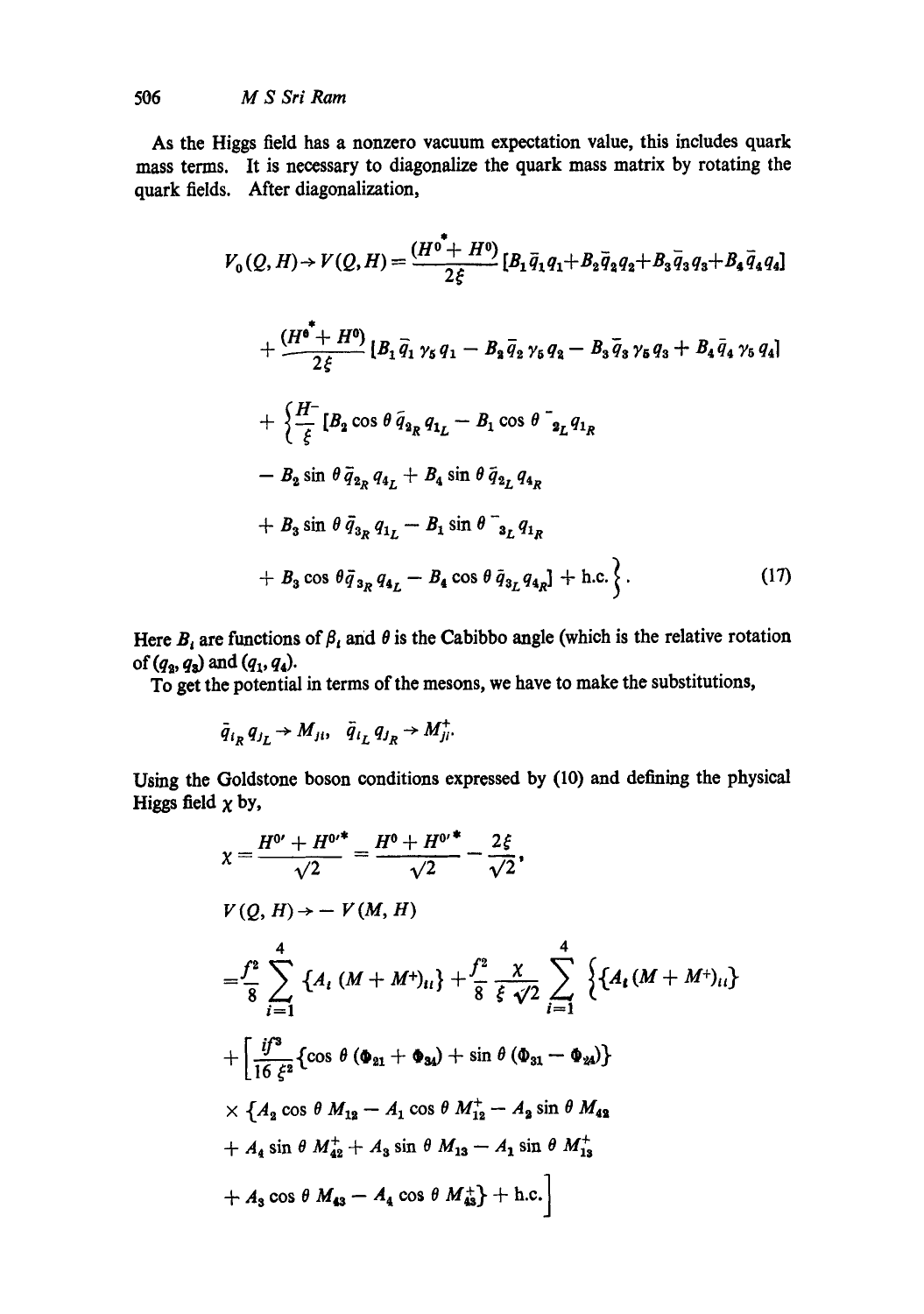As the Higgs field has a nonzero vacuum expectation value, this includes quark mass terms. It is necessary to diagonalize the quark mass matrix by rotating the quark fields. After diagonalization,

$$
V_0(Q, H) \rightarrow V(Q, H) = \frac{(H^0 + H^0)}{2\xi} [B_1 \bar{q}_1 q_1 + B_2 \bar{q}_2 q_2 + B_3 \bar{q}_3 q_3 + B_4 \bar{q}_4 q_4]
$$
  
+ 
$$
\frac{(H^0 + H^0)}{2\xi} [B_1 \bar{q}_1 \gamma_5 q_1 - B_2 \bar{q}_2 \gamma_5 q_2 - B_3 \bar{q}_3 \gamma_5 q_3 + B_4 \bar{q}_4 \gamma_5 q_4]
$$
  
+ 
$$
\frac{H^-}{\xi} [B_2 \cos \theta \bar{q}_{2R} q_{1L} - B_1 \cos \theta \bar{q}_{2L} q_{1R}
$$
  
- 
$$
B_2 \sin \theta \bar{q}_{2R} q_{4L} + B_4 \sin \theta \bar{q}_{2L} q_{4R}
$$
  
+ 
$$
B_3 \sin \theta \bar{q}_{3R} q_{1L} - B_1 \sin \theta \bar{q}_{3L} q_{1R}
$$
  
+ 
$$
B_3 \cos \theta \bar{q}_{3R} q_{4L} - B_4 \cos \theta \bar{q}_{3L} q_{4R} + \text{h.c.} \bigg\}.
$$
 (17)

Here  $B_i$  are functions of  $\beta_i$  and  $\theta$  is the Cabibbo angle (which is the relative rotation of  $(q_3, q_3)$  and  $(q_1, q_4)$ .

To get the potential in terms of the mesons, we have to make the substitutions,

$$
\bar{q}_{i_R} q_{j_L} \rightarrow M_{ji}, \quad \bar{q}_{i_L} q_{j_R} \rightarrow M_{ji}^+.
$$

Using the Goldstone boson conditions expressed by (10) and defining the physical Higgs field  $\chi$  by,

$$
\chi = \frac{H^{0'} + H^{0'}}{\sqrt{2}} = \frac{H^0 + H^{0'}}{\sqrt{2}} - \frac{2\xi}{\sqrt{2}},
$$
  
\n
$$
V(Q, H) \rightarrow - V(M, H)
$$
  
\n
$$
= \frac{f^2}{8} \sum_{i=1}^4 \left\{ A_i (M + M^+)_{ii} \right\} + \frac{f^2}{8} \frac{\chi}{\xi \sqrt{2}} \sum_{i=1}^4 \left\{ A_i (M + M^+)_{ii} \right\}
$$
  
\n
$$
+ \left[ \frac{if^3}{16 \xi^2} \left\{ \cos \theta (\Phi_{21} + \Phi_{34}) + \sin \theta (\Phi_{31} - \Phi_{24}) \right\} \right.
$$
  
\n
$$
\times \left\{ A_2 \cos \theta M_{12} - A_1 \cos \theta M_{12}^+ - A_2 \sin \theta M_{42} \right\}
$$
  
\n
$$
+ A_4 \sin \theta M_{42}^+ + A_3 \sin \theta M_{13} - A_1 \sin \theta M_{13}^+
$$
  
\n
$$
+ A_3 \cos \theta M_{43} - A_4 \cos \theta M_{43}^+ + \text{h.c.} \right]
$$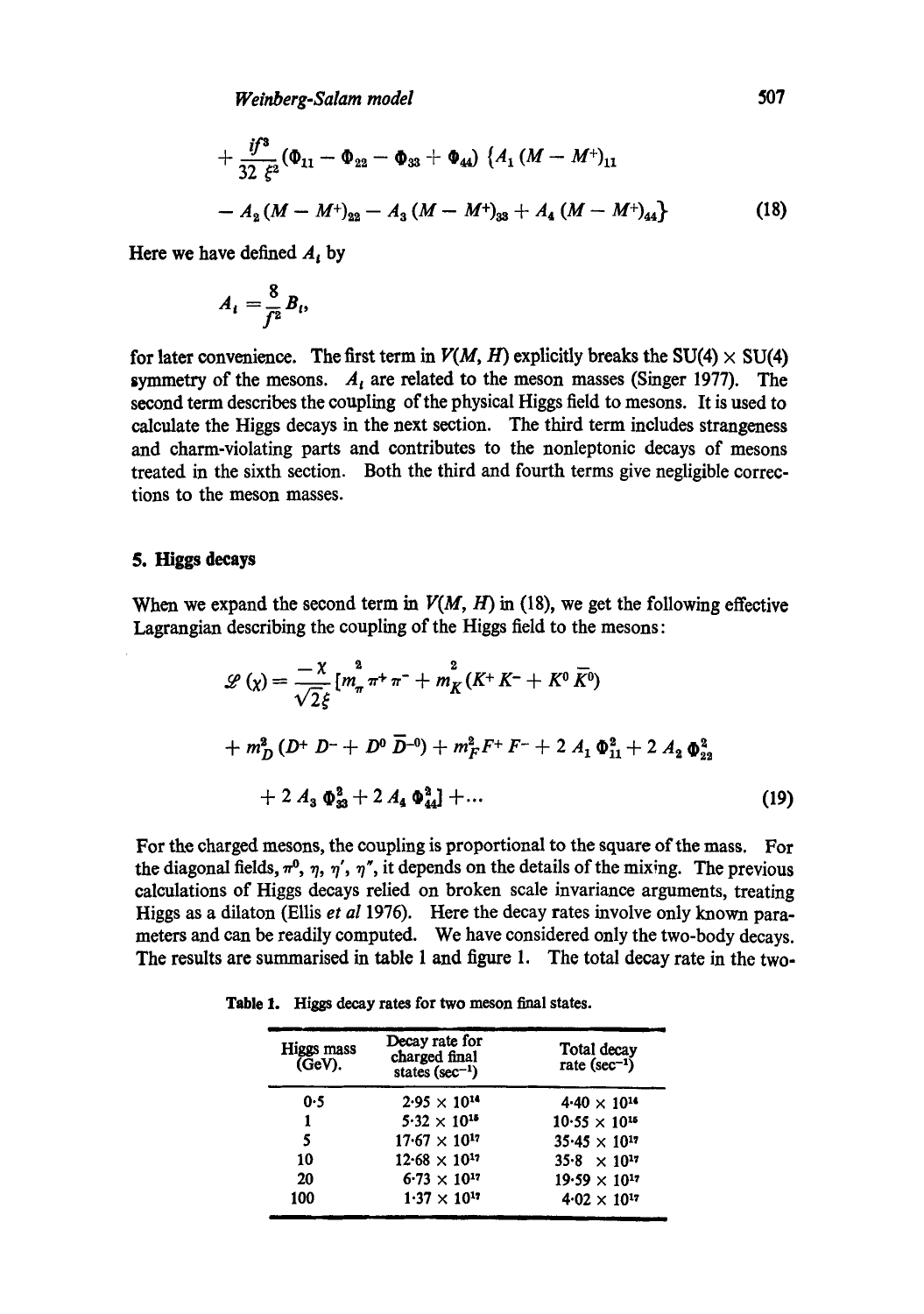$$
+\frac{i f^3}{32 \xi^2}(\Phi_{11}-\Phi_{22}-\Phi_{33}+\Phi_{44})\left\{A_1(M-M^+)_{11}\right.-A_2(M-M^+)_{22}-A_3(M-M^+)_{33}+A_4(M-M^+)_{44}\}
$$
(18)

Here we have defined  $A_t$  by

$$
A_i=\frac{8}{f^2}B_i,
$$

for later convenience. The first term in  $V(M, H)$  explicitly breaks the SU(4)  $\times$  SU(4) symmetry of the mesons.  $A_i$  are related to the meson masses (Singer 1977). The second term describes the coupling of the physical Higgs field to mesons. It is used to calculate the Higgs decays in the next section. The third term includes strangeness and charm-violating parts and contributes to the nonleptonic decays of mesons treated in the sixth section. Both the third and fourth terms give negligible corrections to the meson masses.

#### **5. Higgs decays**

When we expand the second term in  $V(M, H)$  in (18), we get the following effective Lagrangian describing the coupling of the Higgs field to the mesons:

$$
\mathcal{L}(\chi) = \frac{-\chi}{\sqrt{2}\xi} \left[ m_{\pi}^2 \pi^+ \pi^- + m_K^2 (K^+ K^- + K^0 \overline{K}^0) \right.
$$
  
+  $m_D^2 (D^+ D^- + D^0 \overline{D}^{-0}) + m_F^2 F^+ F^- + 2 A_1 \Phi_{11}^2 + 2 A_2 \Phi_{22}^2$   
+  $2 A_3 \Phi_{33}^2 + 2 A_4 \Phi_{44}^2 + ...$  (19)

For the charged mesons, the coupling is proportional to the square of the mass. For the diagonal fields,  $\pi^0$ ,  $\eta$ ,  $\eta'$ ,  $\eta''$ , it depends on the details of the mixing. The previous calculations of Higgs decays relied on broken scale invariance arguments, treating Higgs as a dilaton (Ellis *et al* 1976). Here the decay rates involve only known parameters and can be readily computed. We have considered only the two-body decays. The results are summarised in table 1 and figure 1. The total decay rate in the **two-**

| Higgs mass<br>$\sim$ $\sim$ | Decay rate for<br>charged final | Total dec |
|-----------------------------|---------------------------------|-----------|

**Table** 1. Higgs decay **rates for two meson** final states.

| Higgs mass<br>(GeV). | Decay rate for<br>charged final<br>states ( $sec^{-1}$ ) | Total decay<br>rate $(\sec^{-1})$ |
|----------------------|----------------------------------------------------------|-----------------------------------|
| 0.5                  | $2.95 \times 10^{14}$                                    | $4.40 \times 10^{14}$             |
| 1                    | $5.32 \times 10^{15}$                                    | $10.55 \times 10^{15}$            |
| 5                    | $17.67 \times 10^{17}$                                   | $35.45 \times 10^{17}$            |
| 10                   | $12.68 \times 10^{17}$                                   | $35.8 \times 10^{17}$             |
| 20                   | $6.73 \times 10^{17}$                                    | $19.59 \times 10^{17}$            |
| 100                  | $1.37 \times 10^{17}$                                    | $4.02 \times 10^{17}$             |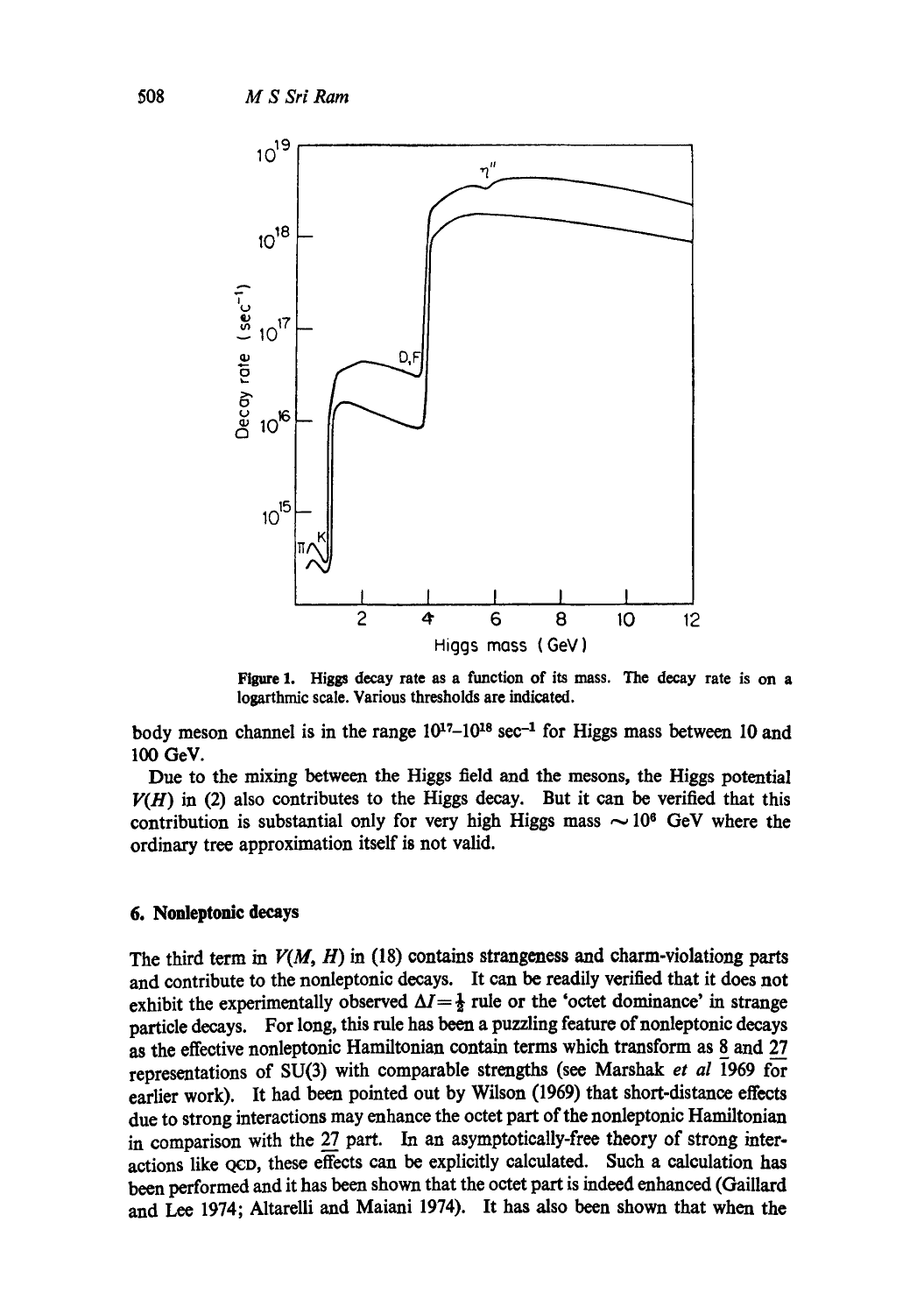

Figure 1. Higgs decay rate as a function of its mass. The decay rate is on **a**  Iogarthmic scale. Various thresholds are indicated.

body meson channel is in the range  $10^{17}-10^{18}$  sec<sup>-1</sup> for Higgs mass between 10 and 100 GeV.

Due to the mixing between the Higgs field and the mesons, the Higgs potential  $V(H)$  in (2) also contributes to the Higgs decay. But it can be verified that this contribution is substantial only for very high Higgs mass  $\sim 10^6$  GeV where the ordinary tree approximation itself is not valid.

## **6. Nonleptonlc decays**

The third term in  $V(M, H)$  in (18) contains strangeness and charm-violationg parts and contribute to the nonleptonic decays. It can be readily verified that it does not exhibit the experimentally observed  $\Delta I = \frac{1}{2}$  rule or the 'octet dominance' in strange particle decays. For long, this rule has been a puzzling feature of nonleptonic decays as the effective nonleptonic Hamiltonian contain terms which transform as 8 and 27 representations of SU(3) with comparable strengths (see Marshak *et al* 1969 for earlier work). It had been pointed out by Wilson (1969) that short-distance effects due to strong interactions may enhance the octet part of the nonleptonic Hamiltonian in comparison with the 27 part. In an asymptotically-free theory of strong interactions like QCD, these effects can be explicitly calculated. Such a calculation has been performed and it has been shown that the octet part is indeed enhanced (Galliard and Lee 1974; Altarelli and Maiani 1974). It has also been shown that when the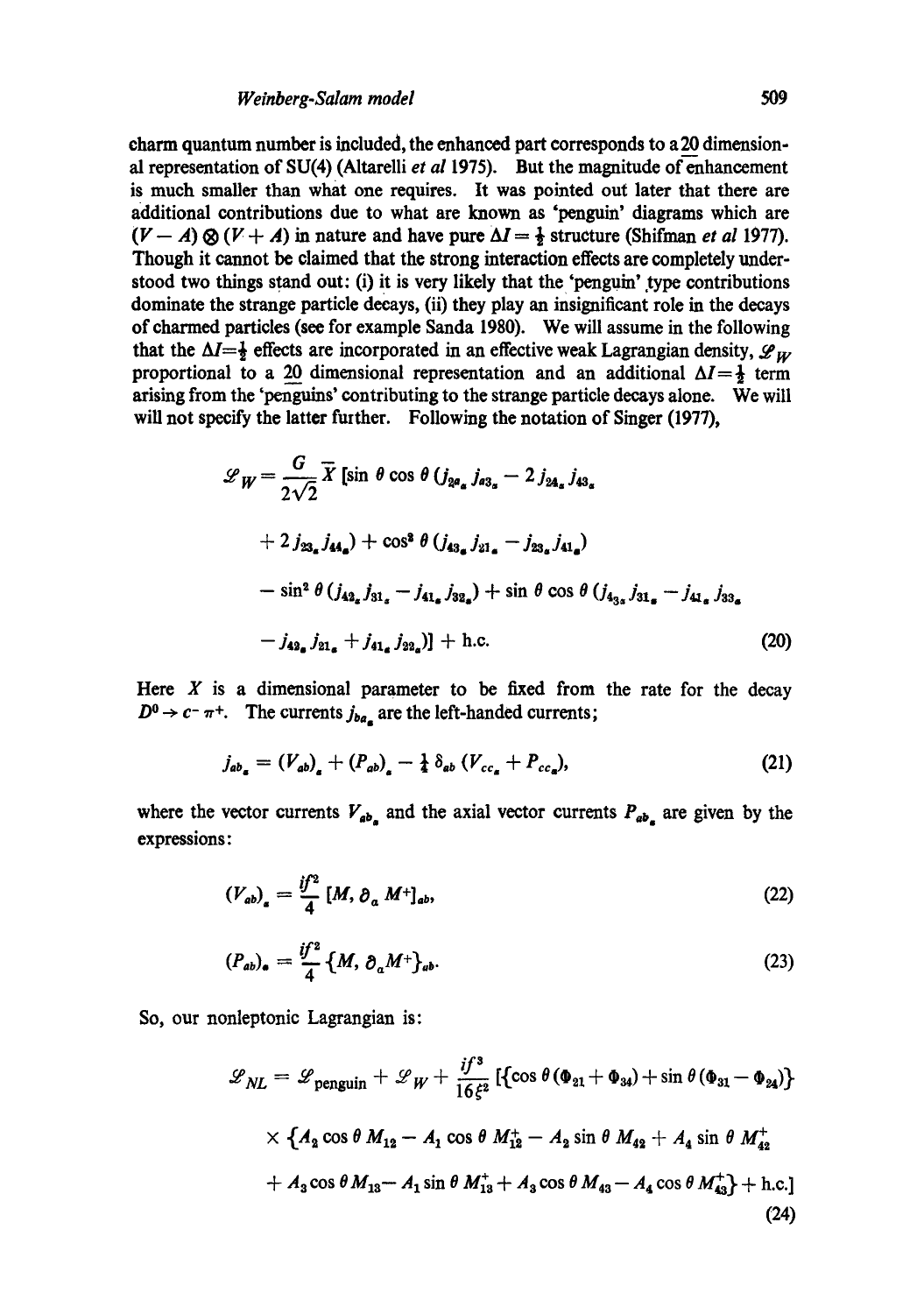charm quantum number is included, the enhanced part corresponds to a 20 dimensional representation of SU(4) (Altarelli et al 1975). But the magnitude of enhancement is much smaller than what one requires. It was pointed out later that there are additional contributions due to what are known as 'penguin' diagrams which are  $(V - A) \otimes (V + A)$  in nature and have pure  $\Delta I = \frac{1}{2}$  structure (Shifman *et al* 1977). Though it cannot be claimed that the strong interaction effects are completely understood two things stand out: (i) it is very likely that the 'penguin' type contributions dominate the strange particle decays, (ii) they play an insignificant role in the decays of charmed particles (see for example Sanda 1980). We will assume in the following that the  $\Delta I=\frac{1}{2}$  effects are incorporated in an effective weak Lagrangian density,  $\mathscr{L}_{W}$ proportional to a 20 dimensional representation and an additional  $\Delta I = \frac{1}{2}$  term arising from the 'penguins' contributing to the strange particle decays alone. We will will not specify the latter further. Following the notation of Singer (1977),

$$
\mathcal{L}_{W} = \frac{G}{2\sqrt{2}} \overline{X} \left[ \sin \theta \cos \theta \left( j_{2a_{\alpha}} j_{a3_{\alpha}} - 2 j_{2a_{\alpha}} j_{43_{\alpha}} \right) \right.
$$
  
+  $2 j_{23_{\alpha}} j_{44_{\alpha}} + \cos^{3} \theta \left( j_{43_{\alpha}} j_{21_{\alpha}} - j_{23_{\alpha}} j_{41_{\alpha}} \right)$   
-  $\sin^{2} \theta \left( j_{42_{\alpha}} j_{31_{\alpha}} - j_{41_{\alpha}} j_{32_{\alpha}} \right) + \sin \theta \cos \theta \left( j_{43_{\alpha}} j_{31_{\alpha}} - j_{41_{\alpha}} j_{33_{\alpha}} \right)$   
-  $j_{42_{\alpha}} j_{21_{\alpha}} + j_{41_{\alpha}} j_{22_{\alpha}} \right) + \text{h.c.}$  (20)

Here  $X$  is a dimensional parameter to be fixed from the rate for the decay  $D^0 \rightarrow c^- \pi^+$ . The currents  $j_{ba}$  are the left-handed currents;

$$
j_{ab_a} = (V_{ab})_a + (P_{ab})_a - \frac{1}{4} \, \delta_{ab} \, (V_{cc_a} + P_{cc_a}), \tag{21}
$$

where the vector currents  $V_{ab}$  and the axial vector currents  $P_{ab}$  are given by the expressions:

$$
\left(V_{ab}\right)_a = \frac{if^2}{4} \left[M, \partial_a M^+\right]_{ab},\tag{22}
$$

$$
(P_{ab})_{\bullet} = \frac{if^2}{4} \left\{ M, \, \partial_a M^+ \right\}_{ab}.
$$

So, our nonleptonic Lagrangian is:

$$
\mathcal{L}_{NL} = \mathcal{L}_{\text{penguin}} + \mathcal{L}_{W} + \frac{if^3}{16\xi^2} \left[ \left\{ \cos \theta \left( \Phi_{21} + \Phi_{34} \right) + \sin \theta \left( \Phi_{31} - \Phi_{24} \right) \right\} \right.
$$
  
 
$$
\times \left\{ A_2 \cos \theta \, M_{12} - A_1 \cos \theta \, M_{12}^+ - A_2 \sin \theta \, M_{42}^+ + A_4 \sin \theta \, M_{42}^+ \right.
$$
  
+  $A_3 \cos \theta \, M_{13} - A_1 \sin \theta \, M_{13}^+ + A_3 \cos \theta \, M_{43} - A_4 \cos \theta \, M_{43}^+ + \text{h.c.} \right]$  (24)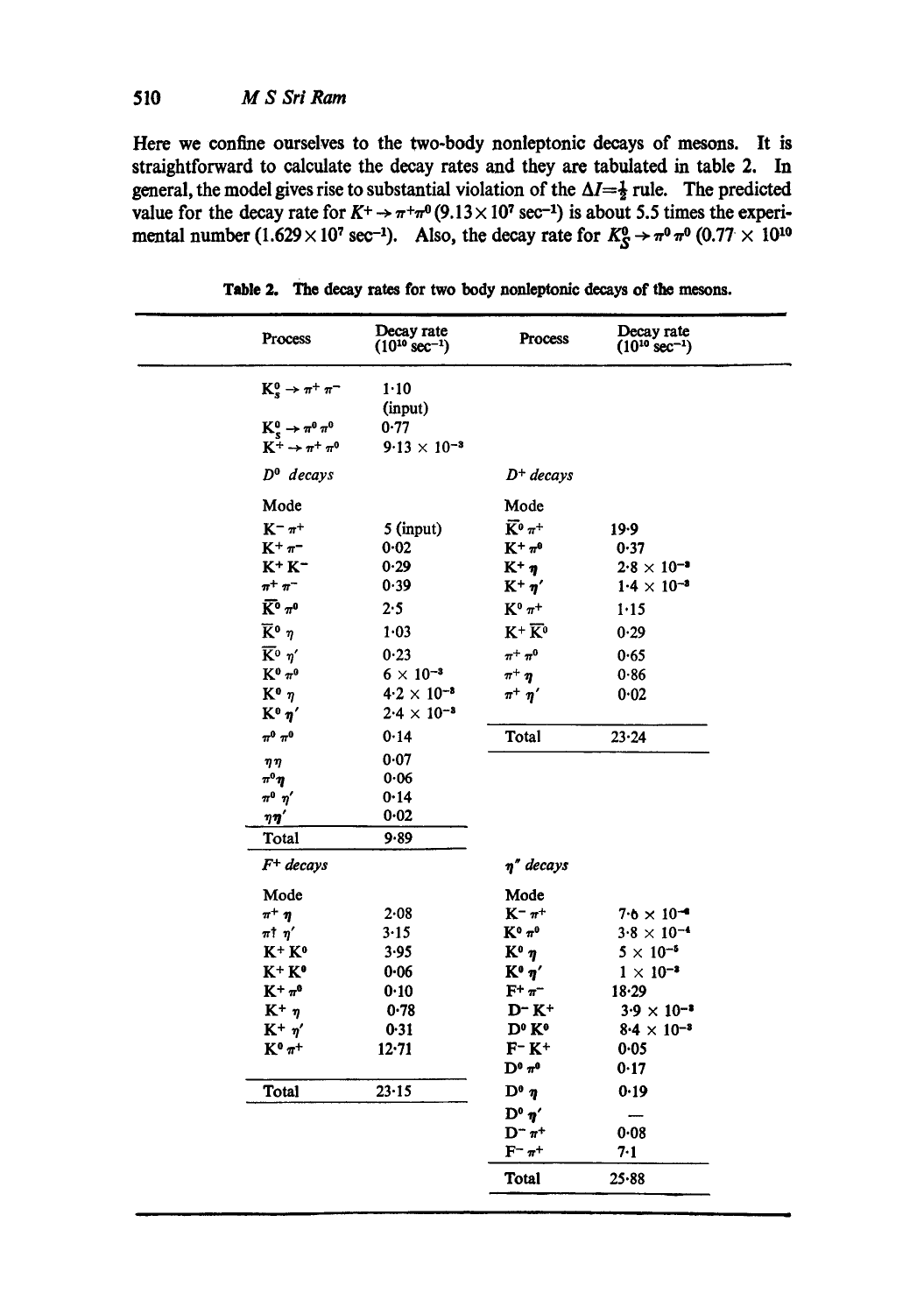**Here we confine ourselves to the two-body nonleptonic decays of mesons. It is straightforward to calculate the decay rates and they are tabulated in table 2. In**  general, the model gives rise to substantial violation of the  $\Delta I = \frac{1}{2}$  rule. The predicted value for the decay rate for  $K^+ \rightarrow \pi^+\pi^0(9.13 \times 10^7 \text{ sec}^{-1})$  is about 5.5 times the experimental number (1.629  $\times$  10<sup>7</sup> sec<sup>-1</sup>). Also, the decay rate for  $K_S^0 \rightarrow \pi^0 \pi^0 (0.77 \times 10^{10}$ 

| Process                                         | Decay rate<br>$(10^{10} \text{ sec}^{-1})$ | <b>Process</b>                                  | Decay rate<br>$(10^{10} \text{ sec}^{-1})$ |
|-------------------------------------------------|--------------------------------------------|-------------------------------------------------|--------------------------------------------|
| $K_s^0 \rightarrow \pi^+ \pi^-$                 | 1.10                                       |                                                 |                                            |
|                                                 | (input)                                    |                                                 |                                            |
| $K_s^0 \rightarrow \pi^0 \pi^0$                 | 0.77                                       |                                                 |                                            |
| $K^+\rightarrow\pi^+\pi^0$                      | $9.13 \times 10^{-3}$                      |                                                 |                                            |
| $D^0$ decays                                    |                                            | $D^+$ decays                                    |                                            |
| Mode                                            |                                            | Mode                                            |                                            |
| $\mathbf{K}^ \pi^+$                             | $5$ (input)                                | $\overline{K}{}^{\scriptscriptstyle 0}$ $\pi^+$ | 19.9                                       |
| $K^+\pi^-$                                      | 0.02                                       | $K^+\pi^0$                                      | 0.37                                       |
| $K^+ K^-$                                       | 0.29                                       | $K^+ \eta$                                      | $2.8 \times 10^{-3}$                       |
| $\pi^+$ $\pi^-$                                 | 0.39                                       | $K^+ \eta'$                                     | $1.4 \times 10^{-3}$                       |
| $\bar{K}^0$ $\pi^0$                             | 2.5                                        | $K^0$ $\pi^+$                                   | 1.15                                       |
| $\overline{K}{}^{\mathbf{0}}$ $\eta$            | 1.03                                       | $K^+ \overline{K^0}$                            | 0.29                                       |
| $\overline{K}{}^{\scriptscriptstyle 0}$ $\eta'$ | 0.23                                       | $\pi^+ \pi^0$                                   | 0.65                                       |
| $\mathbf{K}^0$ $\pi^0$                          | $6 \times 10^{-3}$                         | $\pi^+ \eta$                                    | 0.86                                       |
| $K^0$ $\eta$                                    | $4.2 \times 10^{-8}$                       | $\pi^+$ $\eta'$                                 | 0.02                                       |
| $K^0$ $\eta'$                                   | $2.4 \times 10^{-3}$                       |                                                 |                                            |
| $\pi^0$ $\pi^0$                                 | 0.14                                       | Total                                           | 23.24                                      |
| $\eta\,\eta$                                    | 0.07                                       |                                                 |                                            |
| $\pi^0 \eta$                                    | 0.06                                       |                                                 |                                            |
| $\pi^0$ $\eta^\prime$                           | 0.14                                       |                                                 |                                            |
| $\pmb{\eta}\pmb{\eta}'$                         | 0.02                                       |                                                 |                                            |
| Total                                           | 9.89                                       |                                                 |                                            |
| $F^+$ decays                                    |                                            | $\eta''$ decays                                 |                                            |
| Mode                                            |                                            | Mode                                            |                                            |
| $\pi^+ \eta$                                    | $2 - 08$                                   | $K^ \pi^+$                                      | $7.6 \times 10^{-4}$                       |
| $\pi$ t $\eta'$                                 | 3.15                                       | $K^0 \pi^0$                                     | $3.8 \times 10^{-4}$                       |
| K+ K°                                           | 3.95                                       | $K^0$ $\eta$                                    | $5 \times 10^{-5}$                         |
| $K^+ K^0$                                       | $0 - 06$                                   | $K^0$ $\eta'$                                   | $1 \times 10^{-3}$                         |
| $K^+\pi^0$                                      | 0.10                                       | $F^+ \pi^-$                                     | 18.29                                      |
| $K^+$ $\eta$                                    | 0.78                                       | $D-K^+$                                         | $3.9 \times 10^{-3}$                       |
| $K^+$ $\eta'$                                   | 0.31                                       | D <sup>o</sup> K <sup>o</sup>                   | $8.4 \times 10^{-3}$                       |
| $\mathbf{K}^{\mathbf{0}}\,\pi^+$                | 12.71                                      | $\mathbf{F}^-\,\mathbf{K}^+$                    | 0.05                                       |
|                                                 |                                            | $\mathbf{D}^0$ $\pi^0$                          | 0.17                                       |
| Total                                           | 23.15                                      | $\mathbf{D}^0$ $\eta$                           | 0.19                                       |
|                                                 |                                            | $\mathbf{D}^{\mathbf{0}}$ $\eta'$               |                                            |
|                                                 |                                            | $D^ \pi^+$                                      | 0.08                                       |
|                                                 |                                            | $F^ \pi^+$                                      | 7.1                                        |
|                                                 |                                            | <b>Total</b>                                    | $25 - 88$                                  |

**Table 2. The decay rates for two body nonleptonic** decays of the mesons.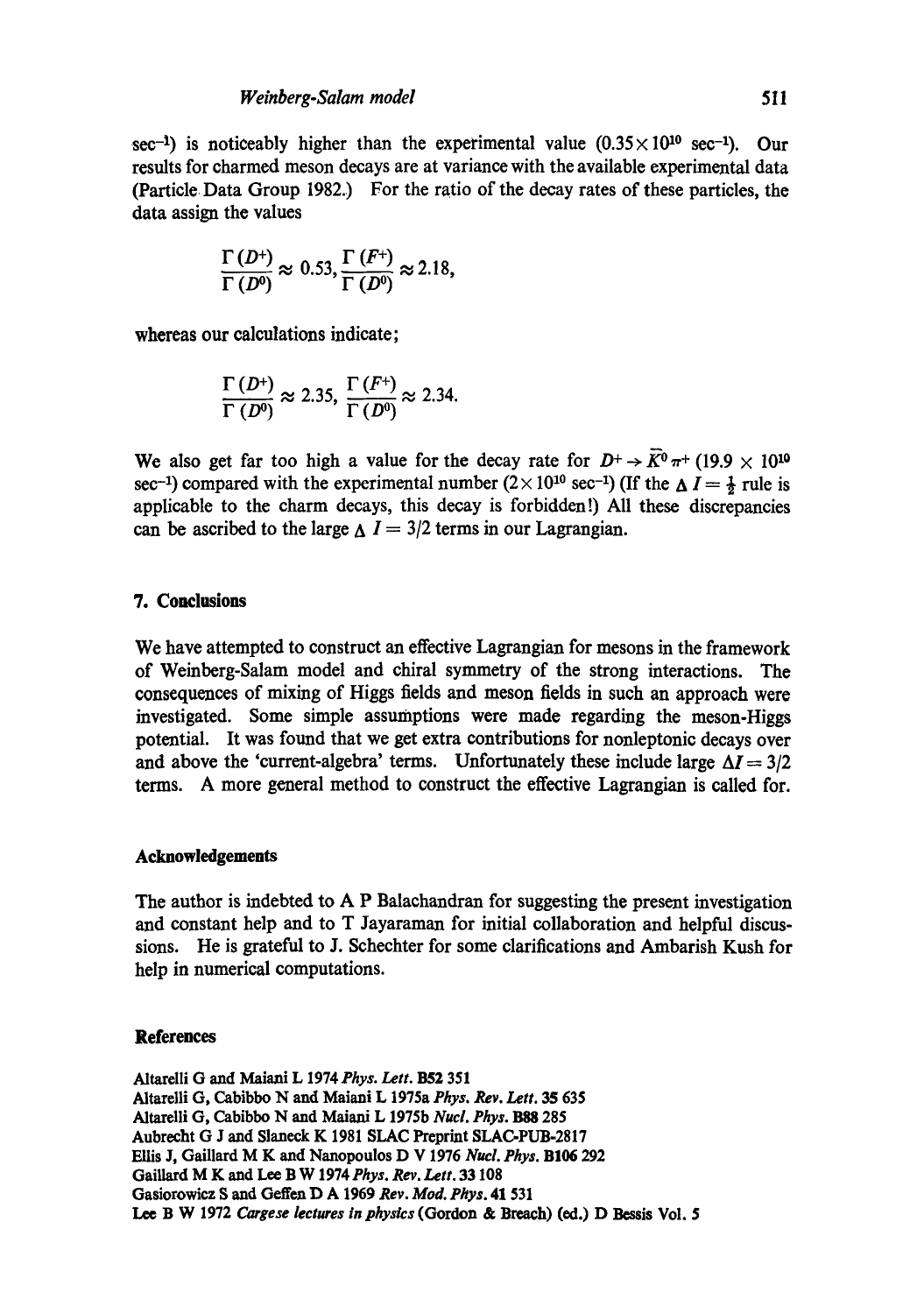sec<sup>-1</sup>) is noticeably higher than the experimental value  $(0.35 \times 10^{10} \text{ sec}^{-1})$ . Our results for charmed meson decays are at variance with the available experimental data (Particle Data Group 1982.) For the ratio of the decay rates of these particles, the data assign the values

$$
\frac{\Gamma(D^+)}{\Gamma(D^0)} \approx 0.53, \frac{\Gamma(F^+)}{\Gamma(D^0)} \approx 2.18,
$$

whereas our calculations indicate;

$$
\frac{\Gamma(D^+)}{\Gamma(D^0)} \approx 2.35, \frac{\Gamma(F^+)}{\Gamma(D^0)} \approx 2.34.
$$

We also get far too high a value for the decay rate for  $D^+ \rightarrow \overline{K}^0 \pi^+$  (19.9  $\times$  10<sup>10</sup>) sec<sup>-1</sup>) compared with the experimental number  $(2 \times 10^{10} \text{ sec}^{-1})$  (If the  $\Delta I = \frac{1}{2}$  rule is applicable to the charm decays, this decay is forbidden!) All these discrepancies can be ascribed to the large  $\Delta I = 3/2$  terms in our Lagrangian.

## **7. Conclusions**

We have attempted to construct an effective Lagrangian for mesons in the framework of Weinberg-Salam model and chiral symmetry of the strong interactions. The consequences of mixing of Higgs fields and meson fields in such an approach were investigated. Some simple assumptions were made regarding the meson-Higgs potential. It was found that we get extra contributions for nonleptonic decays over and above the 'current-algebra' terms. Unfortunately these include large  $\Delta I = 3/2$ terms. A more general method to construct the effective Lagrangian is called for.

## **Acknowledgements**

The author is indebted to A P Balachandran for suggesting the present investigation and constant help and to T Jayaraman for initial collaboration and helpful discussions. He is grateful to J. Schechter for some clarifications and Ambarish Kush for help in numerical computations.

### **References**

Altarelli G and Maiani L 1974 Phys. Lett. B52 351 Altarelli G, Cabibbo N and Maiani L 1975a *Phys. Rev. Lett.* 35 635 Altarelli G, Cabibbo N and Maiani L 1975b *Nucl. Phys.* B88 285 Aubreeht G J and Slaneck K 1981 SLAC Preprint SLAC-PUB.2817 Ellis J, Gaillard M K and Nanopoulos D V 1976 *Nucl. Phys.* BI06 292 Gaiilard M K and Lee B W *1974Phys. Rev. Lett.* 33 108 Gasiorowicz S and **Geffen D A 1969** *Rev. Mod. Phys.* **41** 531 Lee B W 1972 *Cargese lectures in physics* (Gordon & Breach) (ed.) D Bessis Vol. 5